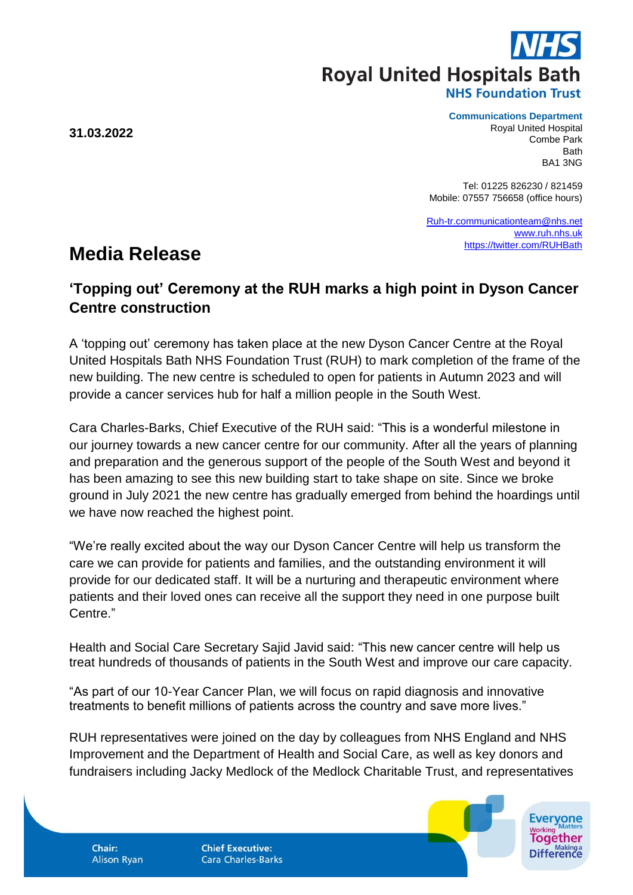**Royal United Hospitals Bath** 

**NHS Foundation Trust** 

**31.03.2022**

## **Communications Department**

Royal United Hospital Combe Park **Bath** BA1 3NG

Tel: 01225 826230 / 821459 Mobile: 07557 756658 (office hours)

[Ruh-tr.communicationteam@nhs.net](mailto:Ruh-tr.communicationteam@nhs.net) [www.ruh.nhs.uk](http://www.ruh.nhs.uk/) <https://twitter.com/RUHBath>

## **Media Release**

## **'Topping out' Ceremony at the RUH marks a high point in Dyson Cancer Centre construction**

A 'topping out' ceremony has taken place at the new Dyson Cancer Centre at the Royal United Hospitals Bath NHS Foundation Trust (RUH) to mark completion of the frame of the new building. The new centre is scheduled to open for patients in Autumn 2023 and will provide a cancer services hub for half a million people in the South West.

Cara Charles-Barks, Chief Executive of the RUH said: "This is a wonderful milestone in our journey towards a new cancer centre for our community. After all the years of planning and preparation and the generous support of the people of the South West and beyond it has been amazing to see this new building start to take shape on site. Since we broke ground in July 2021 the new centre has gradually emerged from behind the hoardings until we have now reached the highest point.

"We're really excited about the way our Dyson Cancer Centre will help us transform the care we can provide for patients and families, and the outstanding environment it will provide for our dedicated staff. It will be a nurturing and therapeutic environment where patients and their loved ones can receive all the support they need in one purpose built Centre."

Health and Social Care Secretary Sajid Javid said: "This new cancer centre will help us treat hundreds of thousands of patients in the South West and improve our care capacity.

"As part of our 10-Year Cancer Plan, we will focus on rapid diagnosis and innovative treatments to benefit millions of patients across the country and save more lives."

RUH representatives were joined on the day by colleagues from NHS England and NHS Improvement and the Department of Health and Social Care, as well as key donors and fundraisers including Jacky Medlock of the Medlock Charitable Trust, and representatives



Chair: **Alison Ryan**  **Chief Executive: Cara Charles-Barks**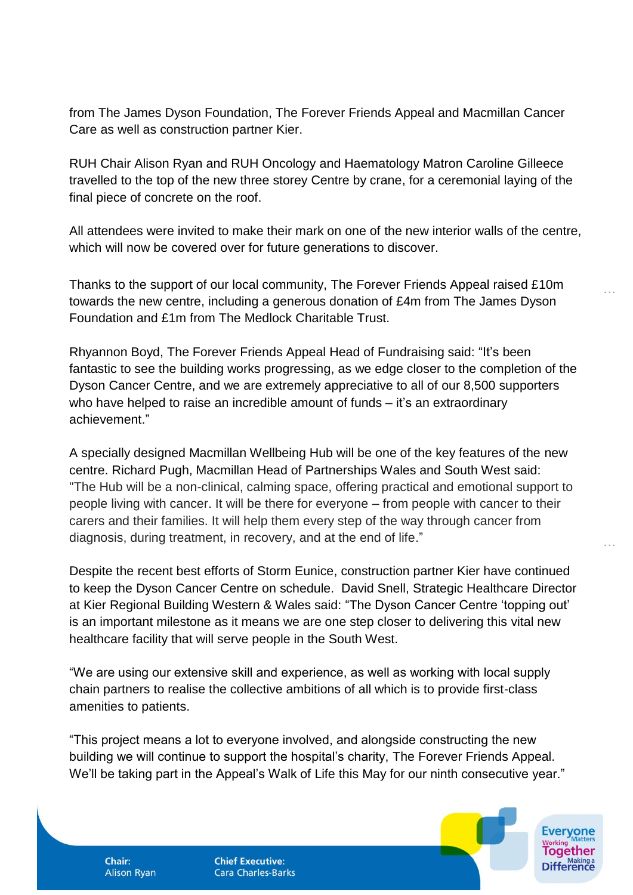from The James Dyson Foundation, The Forever Friends Appeal and Macmillan Cancer Care as well as construction partner Kier.

RUH Chair Alison Ryan and RUH Oncology and Haematology Matron Caroline Gilleece travelled to the top of the new three storey Centre by crane, for a ceremonial laying of the final piece of concrete on the roof.

All attendees were invited to make their mark on one of the new interior walls of the centre, which will now be covered over for future generations to discover.

…

…

Thanks to the support of our local community, The Forever Friends Appeal raised £10m towards the new centre, including a generous donation of £4m from The James Dyson Foundation and £1m from The Medlock Charitable Trust.

Rhyannon Boyd, The Forever Friends Appeal Head of Fundraising said: "It's been fantastic to see the building works progressing, as we edge closer to the completion of the Dyson Cancer Centre, and we are extremely appreciative to all of our 8,500 supporters who have helped to raise an incredible amount of funds – it's an extraordinary achievement."

A specially designed Macmillan Wellbeing Hub will be one of the key features of the new centre. Richard Pugh, Macmillan Head of Partnerships Wales and South West said: "The Hub will be a non-clinical, calming space, offering practical and emotional support to people living with cancer. It will be there for everyone – from people with cancer to their carers and their families. It will help them every step of the way through cancer from diagnosis, during treatment, in recovery, and at the end of life."

Despite the recent best efforts of Storm Eunice, construction partner Kier have continued to keep the Dyson Cancer Centre on schedule. David Snell, Strategic Healthcare Director at Kier Regional Building Western & Wales said: "The Dyson Cancer Centre 'topping out' is an important milestone as it means we are one step closer to delivering this vital new healthcare facility that will serve people in the South West.

"We are using our extensive skill and experience, as well as working with local supply chain partners to realise the collective ambitions of all which is to provide first-class amenities to patients.

"This project means a lot to everyone involved, and alongside constructing the new building we will continue to support the hospital's charity, The Forever Friends Appeal. We'll be taking part in the Appeal's Walk of Life this May for our ninth consecutive year."

**Alison Ryan** 

**Chair:** 

**Chief Executive: Cara Charles-Barks**